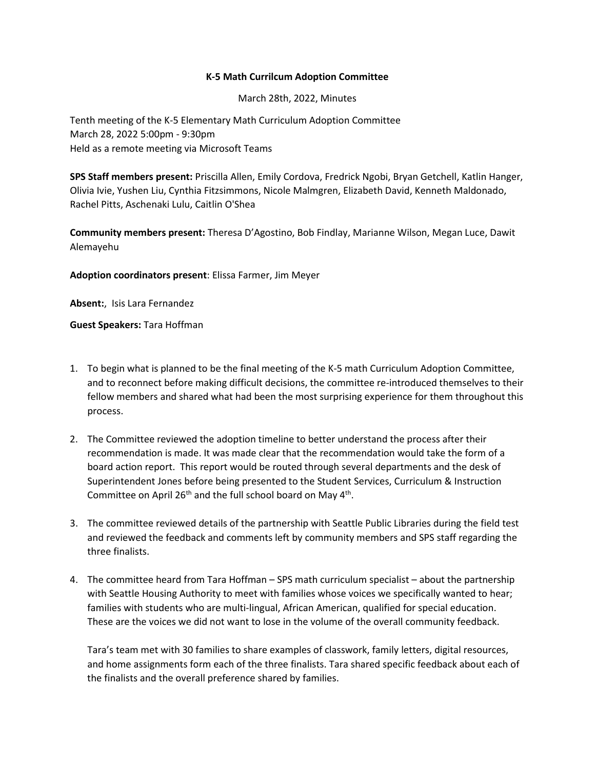## **K-5 Math Currilcum Adoption Committee**

March 28th, 2022, Minutes

Tenth meeting of the K-5 Elementary Math Curriculum Adoption Committee March 28, 2022 5:00pm - 9:30pm Held as a remote meeting via Microsoft Teams

**SPS Staff members present:** Priscilla Allen, Emily Cordova, Fredrick Ngobi, Bryan Getchell, Katlin Hanger, Olivia Ivie, Yushen Liu, Cynthia Fitzsimmons, Nicole Malmgren, Elizabeth David, Kenneth Maldonado, Rachel Pitts, Aschenaki Lulu, Caitlin O'Shea

**Community members present:** Theresa D'Agostino, Bob Findlay, Marianne Wilson, Megan Luce, Dawit Alemayehu

**Adoption coordinators present**: Elissa Farmer, Jim Meyer

**Absent:**, Isis Lara Fernandez

**Guest Speakers:** Tara Hoffman

- 1. To begin what is planned to be the final meeting of the K-5 math Curriculum Adoption Committee, and to reconnect before making difficult decisions, the committee re-introduced themselves to their fellow members and shared what had been the most surprising experience for them throughout this process.
- 2. The Committee reviewed the adoption timeline to better understand the process after their recommendation is made. It was made clear that the recommendation would take the form of a board action report. This report would be routed through several departments and the desk of Superintendent Jones before being presented to the Student Services, Curriculum & Instruction Committee on April 26<sup>th</sup> and the full school board on May  $4<sup>th</sup>$ .
- 3. The committee reviewed details of the partnership with Seattle Public Libraries during the field test and reviewed the feedback and comments left by community members and SPS staff regarding the three finalists.
- 4. The committee heard from Tara Hoffman SPS math curriculum specialist about the partnership with Seattle Housing Authority to meet with families whose voices we specifically wanted to hear; families with students who are multi-lingual, African American, qualified for special education. These are the voices we did not want to lose in the volume of the overall community feedback.

Tara's team met with 30 families to share examples of classwork, family letters, digital resources, and home assignments form each of the three finalists. Tara shared specific feedback about each of the finalists and the overall preference shared by families.